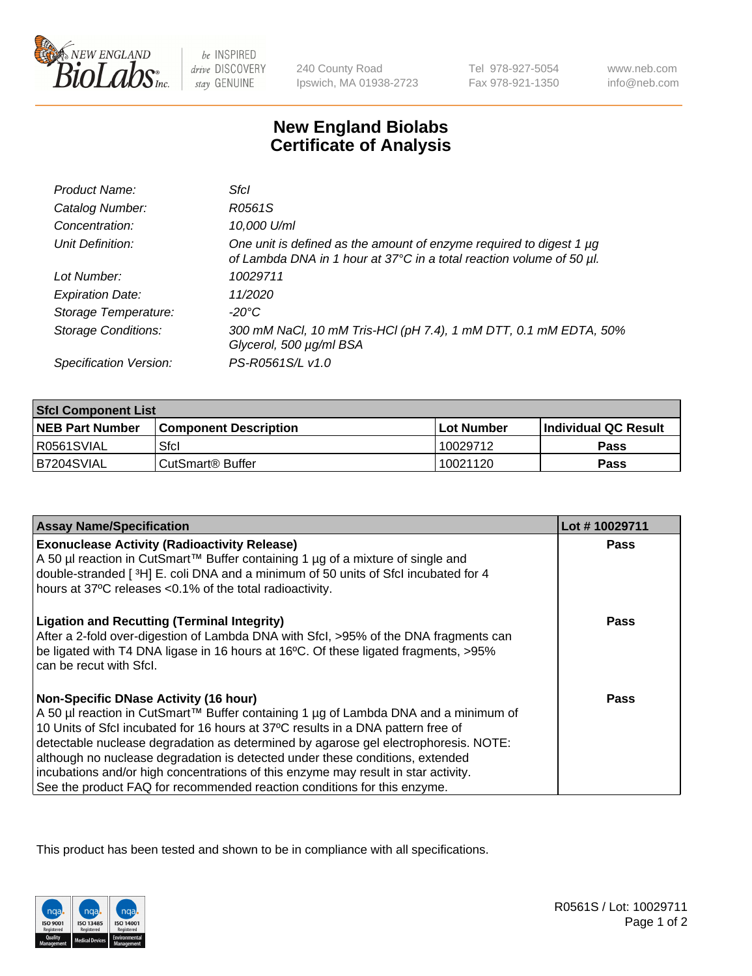

 $be$  INSPIRED drive DISCOVERY stay GENUINE

240 County Road Ipswich, MA 01938-2723 Tel 978-927-5054 Fax 978-921-1350

www.neb.com info@neb.com

## **New England Biolabs Certificate of Analysis**

| Product Name:              | Sfcl                                                                                                                                             |
|----------------------------|--------------------------------------------------------------------------------------------------------------------------------------------------|
| Catalog Number:            | R0561S                                                                                                                                           |
| Concentration:             | 10,000 U/ml                                                                                                                                      |
| Unit Definition:           | One unit is defined as the amount of enzyme required to digest 1 $\mu$ g<br>of Lambda DNA in 1 hour at 37°C in a total reaction volume of 50 µl. |
| Lot Number:                | 10029711                                                                                                                                         |
| <b>Expiration Date:</b>    | 11/2020                                                                                                                                          |
| Storage Temperature:       | $-20^{\circ}$ C                                                                                                                                  |
| <b>Storage Conditions:</b> | 300 mM NaCl, 10 mM Tris-HCl (pH 7.4), 1 mM DTT, 0.1 mM EDTA, 50%<br>Glycerol, 500 µg/ml BSA                                                      |
| Specification Version:     | PS-R0561S/L v1.0                                                                                                                                 |

| <b>Sfcl Component List</b> |                              |              |                             |  |
|----------------------------|------------------------------|--------------|-----------------------------|--|
| <b>NEB Part Number</b>     | <b>Component Description</b> | l Lot Number | <b>Individual QC Result</b> |  |
| R0561SVIAL                 | Sfcl                         | 10029712     | <b>Pass</b>                 |  |
| B7204SVIAL                 | CutSmart <sup>®</sup> Buffer | 10021120     | Pass                        |  |

| <b>Assay Name/Specification</b>                                                                                                                                                                                                                              | Lot #10029711 |
|--------------------------------------------------------------------------------------------------------------------------------------------------------------------------------------------------------------------------------------------------------------|---------------|
| <b>Exonuclease Activity (Radioactivity Release)</b><br>A 50 µl reaction in CutSmart™ Buffer containing 1 µg of a mixture of single and                                                                                                                       | <b>Pass</b>   |
| double-stranded [3H] E. coli DNA and a minimum of 50 units of Sfcl incubated for 4<br>hours at 37°C releases <0.1% of the total radioactivity.                                                                                                               |               |
| <b>Ligation and Recutting (Terminal Integrity)</b><br>After a 2-fold over-digestion of Lambda DNA with Sfcl, >95% of the DNA fragments can<br>be ligated with T4 DNA ligase in 16 hours at 16°C. Of these ligated fragments, >95%<br>can be recut with Sfcl. | Pass          |
| <b>Non-Specific DNase Activity (16 hour)</b><br>A 50 µl reaction in CutSmart™ Buffer containing 1 µg of Lambda DNA and a minimum of                                                                                                                          | <b>Pass</b>   |
| 10 Units of SfcI incubated for 16 hours at 37°C results in a DNA pattern free of                                                                                                                                                                             |               |
| detectable nuclease degradation as determined by agarose gel electrophoresis. NOTE:                                                                                                                                                                          |               |
| although no nuclease degradation is detected under these conditions, extended                                                                                                                                                                                |               |
| incubations and/or high concentrations of this enzyme may result in star activity.<br>See the product FAQ for recommended reaction conditions for this enzyme.                                                                                               |               |

This product has been tested and shown to be in compliance with all specifications.